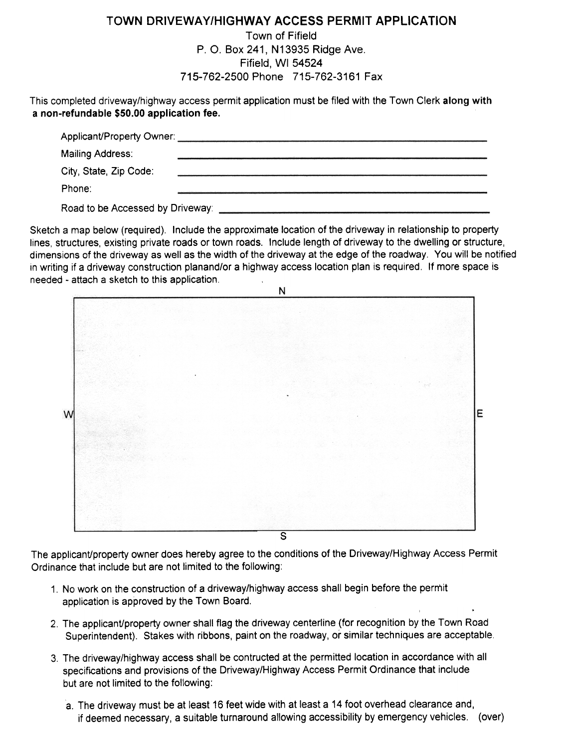## TOWN DRIVEWAY/HIGHWAY ACCESS PERMIT APPLICATION

## Town of Fifield P. 0. Box 241, N13935 Ridge Ave. Fifield, WI 54524 715-762-2500 Phone 715-762-3161 Fax

This completed driveway/highway access permit application must be filed with the Town Clerk along with a non-refundable \$50.00 application fee.

| Applicant/Property Owner:        |  |
|----------------------------------|--|
| Mailing Address:                 |  |
| City, State, Zip Code:           |  |
| Phone:                           |  |
| Road to be Accessed by Driveway: |  |

Sketch a map below (required). Include the approximate location of the driveway in relationship to property lines, structures, existing private roads or town roads. Include length of driveway to the dwelling or structure, dimensions of the driveway as well as the width of the driveway at the edge of the roadway. You will be notified in writing if a driveway construction planand/or a highway access location plan is required. If more space is needed - attach a sketch to this application.



The applicant/property owner does hereby agree to the conditions of the Driveway/Highway Access Permit Ordinance that include but are not limited to the following:

- 1. No work on the construction of a driveway/highway access shall begin before the permit application is approved by the Town Board.
- 2. The applicant/property owner shall flag the driveway centerline (for recognition by the Town Road Superintendent). Stakes with ribbons, paint on the roadway, or similar techniques are acceptable.
- 3. The driveway/highway access shall be contructed at the permitted location in accordance with all specifications and provisions of the Driveway/Highway Access Permit Ordinance that include but are not limited to the following:
	- a. The driveway must be at least 16 feet wide with at least a 14 foot overhead clearance and, if deemed necessary, a suitable turnaround allowing accessibility by emergency vehicles. (over)